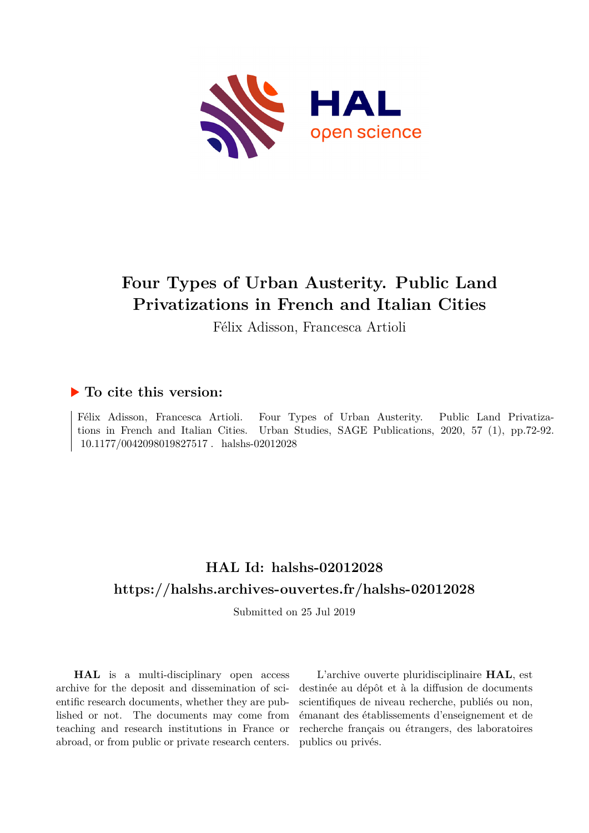

# **Four Types of Urban Austerity. Public Land Privatizations in French and Italian Cities**

Félix Adisson, Francesca Artioli

## **To cite this version:**

Félix Adisson, Francesca Artioli. Four Types of Urban Austerity. Public Land Privatizations in French and Italian Cities. Urban Studies, SAGE Publications, 2020, 57 (1), pp.72-92.  $10.1177/0042098019827517$ . halshs-02012028

## **HAL Id: halshs-02012028 <https://halshs.archives-ouvertes.fr/halshs-02012028>**

Submitted on 25 Jul 2019

**HAL** is a multi-disciplinary open access archive for the deposit and dissemination of scientific research documents, whether they are published or not. The documents may come from teaching and research institutions in France or abroad, or from public or private research centers.

L'archive ouverte pluridisciplinaire **HAL**, est destinée au dépôt et à la diffusion de documents scientifiques de niveau recherche, publiés ou non, émanant des établissements d'enseignement et de recherche français ou étrangers, des laboratoires publics ou privés.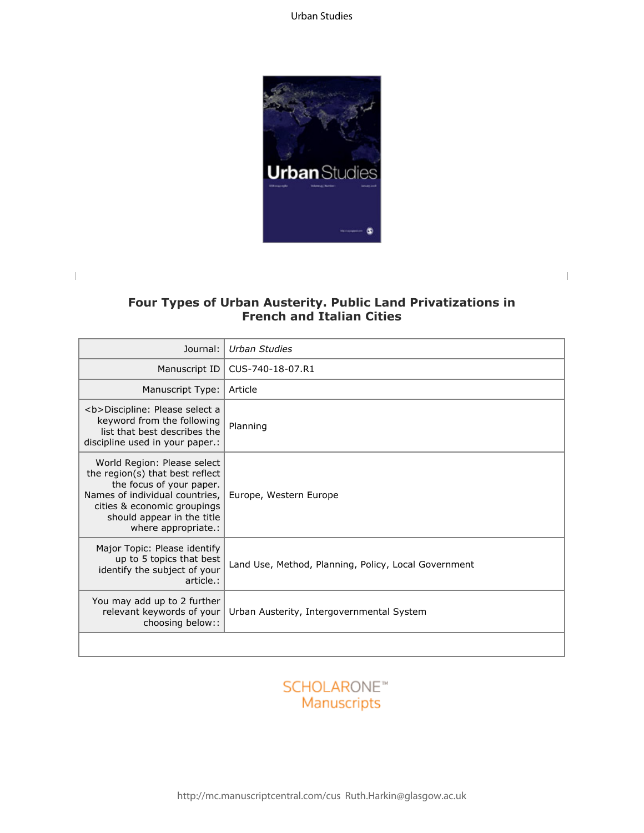

## **Four Types of Urban Austerity. Public Land Privatizations in French and Italian Cities**

 $\overline{\phantom{a}}$ 

| Journal:                                                                                                                                                                                                         | Urban Studies                                        |  |
|------------------------------------------------------------------------------------------------------------------------------------------------------------------------------------------------------------------|------------------------------------------------------|--|
| Manuscript ID                                                                                                                                                                                                    | CUS-740-18-07.R1                                     |  |
| Manuscript Type:                                                                                                                                                                                                 | Article                                              |  |
| <b>Discipline: Please select a<br/>keyword from the following<br/>list that best describes the<br/>discipline used in your paper.:</b>                                                                           | Planning                                             |  |
| World Region: Please select<br>the region(s) that best reflect<br>the focus of your paper.<br>Names of individual countries,<br>cities & economic groupings<br>should appear in the title<br>where appropriate.: | Europe, Western Europe                               |  |
| Major Topic: Please identify<br>up to 5 topics that best<br>identify the subject of your<br>article.:                                                                                                            | Land Use, Method, Planning, Policy, Local Government |  |
| You may add up to 2 further<br>relevant keywords of your<br>choosing below::                                                                                                                                     | Urban Austerity, Intergovernmental System            |  |
|                                                                                                                                                                                                                  |                                                      |  |

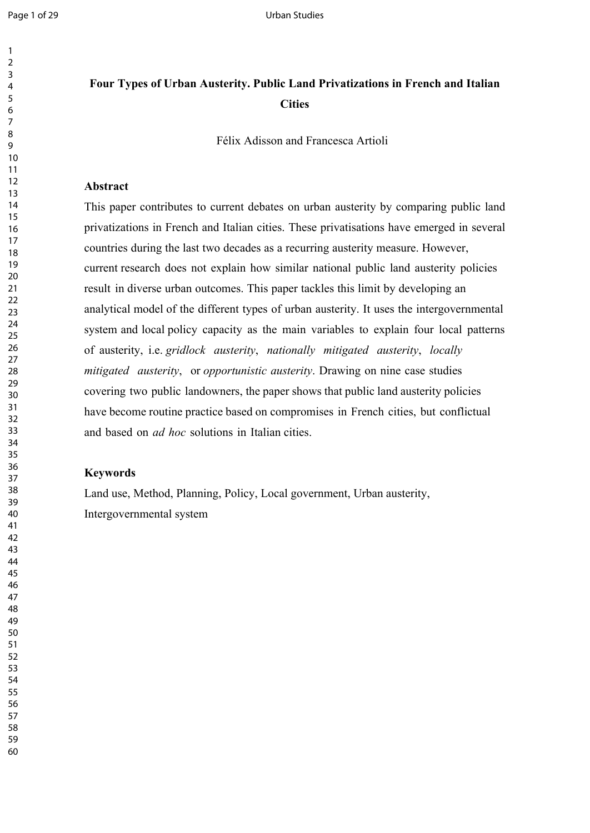## **Four Types of Urban Austerity. Public Land Privatizations in French and Italian Cities**

Félix Adisson and Francesca Artioli

### **Abstract**

This paper contributes to current debates on urban austerity by comparing public land privatizations in French and Italian cities. These privatisations have emerged in several countries during the last two decades as a recurring austerity measure. However, current research does not explain how similar national public land austerity policies result in diverse urban outcomes. This paper tackles this limit by developing an analytical model of the different types of urban austerity. It uses the intergovernmental system and local policy capacity as the main variables to explain four local patterns of austerity, i.e. *gridlock austerity*, *nationally mitigated austerity*, *locally mitigated austerity*, or *opportunistic austerity*. Drawing on nine case studies covering two public landowners, the paper shows that public land austerity policies have become routine practice based on compromises in French cities, but conflictual and based on *ad hoc* solutions in Italian cities.

## **Keywords**

Land use, Method, Planning, Policy, Local government, Urban austerity, Intergovernmental system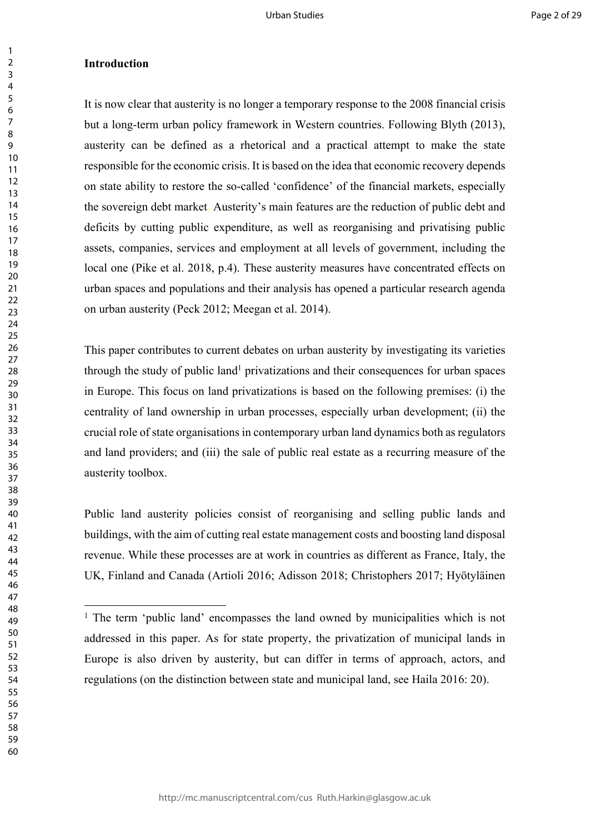#### **Introduction**

It is now clear that austerity is no longer a temporary response to the 2008 financial crisis but a long-term urban policy framework in Western countries. Following Blyth (2013), austerity can be defined as a rhetorical and a practical attempt to make the state responsible for the economic crisis. It is based on the idea that economic recovery depends on state ability to restore the so-called 'confidence' of the financial markets, especially the sovereign debt market. Austerity's main features are the reduction of public debt and deficits by cutting public expenditure, as well as reorganising and privatising public assets, companies, services and employment at all levels of government, including the local one (Pike et al. 2018, p.4). These austerity measures have concentrated effects on urban spaces and populations and their analysis has opened a particular research agenda on urban austerity (Peck 2012; Meegan et al. 2014).

This paper contributes to current debates on urban austerity by investigating its varieties through the study of public land<sup>1</sup> privatizations and their consequences for urban spaces in Europe. This focus on land privatizations is based on the following premises: (i) the centrality of land ownership in urban processes, especially urban development; (ii) the crucial role of state organisations in contemporary urban land dynamics both as regulators and land providers; and (iii) the sale of public real estate as a recurring measure of the austerity toolbox.

Public land austerity policies consist of reorganising and selling public lands and buildings, with the aim of cutting real estate management costs and boosting land disposal revenue. While these processes are at work in countries as different as France, Italy, the UK, Finland and Canada (Artioli 2016; Adisson 2018; Christophers 2017; Hyötyläinen

<sup>&</sup>lt;sup>1</sup> The term 'public land' encompasses the land owned by municipalities which is not addressed in this paper. As for state property, the privatization of municipal lands in Europe is also driven by austerity, but can differ in terms of approach, actors, and regulations (on the distinction between state and municipal land, see Haila 2016: 20).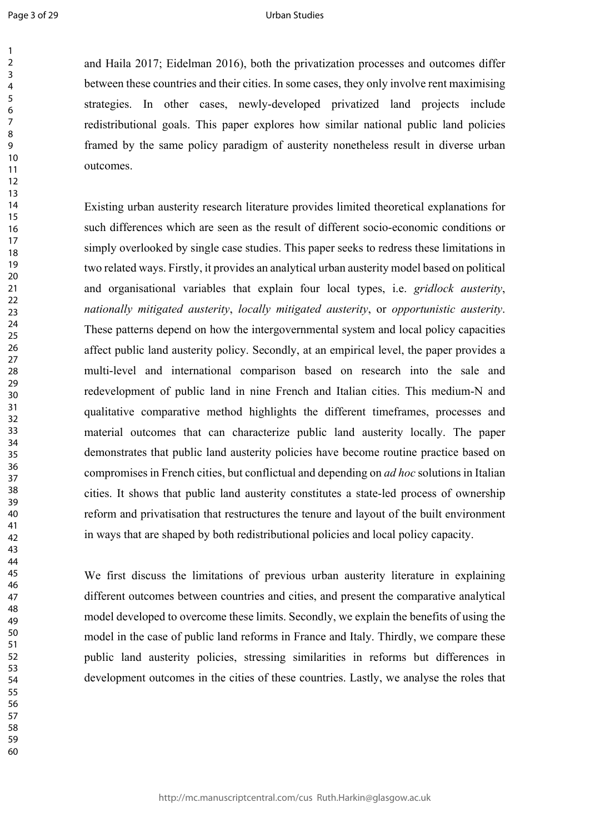#### Urban Studies

and Haila 2017; Eidelman 2016), both the privatization processes and outcomes differ between these countries and their cities. In some cases, they only involve rent maximising strategies. In other cases, newly-developed privatized land projects include redistributional goals. This paper explores how similar national public land policies framed by the same policy paradigm of austerity nonetheless result in diverse urban outcomes.

Existing urban austerity research literature provides limited theoretical explanations for such differences which are seen as the result of different socio-economic conditions or simply overlooked by single case studies. This paper seeks to redress these limitations in two related ways. Firstly, it provides an analytical urban austerity model based on political and organisational variables that explain four local types, i.e. *gridlock austerity*, *nationally mitigated austerity*, *locally mitigated austerity*, or *opportunistic austerity*. These patterns depend on how the intergovernmental system and local policy capacities affect public land austerity policy. Secondly, at an empirical level, the paper provides a multi-level and international comparison based on research into the sale and redevelopment of public land in nine French and Italian cities. This medium-N and qualitative comparative method highlights the different timeframes, processes and material outcomes that can characterize public land austerity locally. The paper demonstrates that public land austerity policies have become routine practice based on compromises in French cities, but conflictual and depending on *ad hoc* solutions in Italian cities. It shows that public land austerity constitutes a state-led process of ownership reform and privatisation that restructures the tenure and layout of the built environment in ways that are shaped by both redistributional policies and local policy capacity.

We first discuss the limitations of previous urban austerity literature in explaining different outcomes between countries and cities, and present the comparative analytical model developed to overcome these limits. Secondly, we explain the benefits of using the model in the case of public land reforms in France and Italy. Thirdly, we compare these public land austerity policies, stressing similarities in reforms but differences in development outcomes in the cities of these countries. Lastly, we analyse the roles that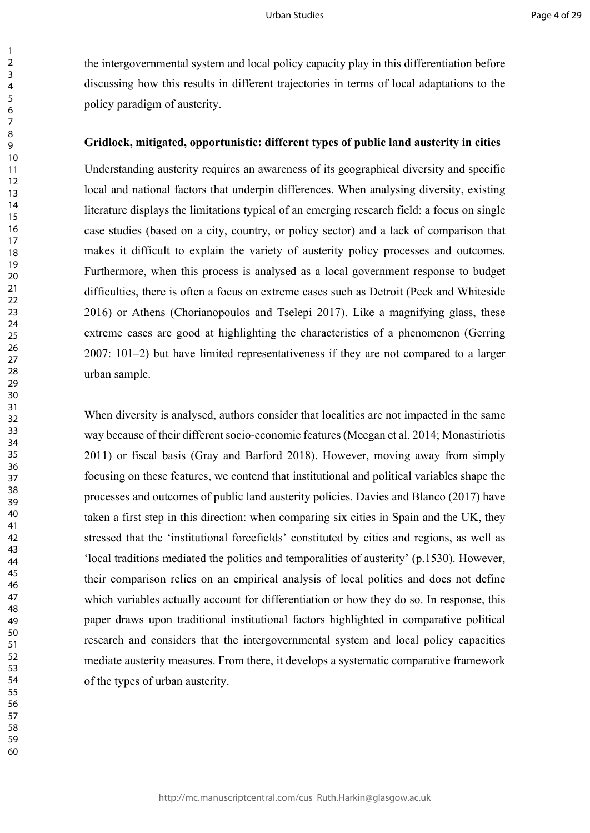the intergovernmental system and local policy capacity play in this differentiation before discussing how this results in different trajectories in terms of local adaptations to the policy paradigm of austerity.

### **Gridlock, mitigated, opportunistic: different types of public land austerity in cities**

Understanding austerity requires an awareness of its geographical diversity and specific local and national factors that underpin differences. When analysing diversity, existing literature displays the limitations typical of an emerging research field: a focus on single case studies (based on a city, country, or policy sector) and a lack of comparison that makes it difficult to explain the variety of austerity policy processes and outcomes. Furthermore, when this process is analysed as a local government response to budget difficulties, there is often a focus on extreme cases such as Detroit (Peck and Whiteside 2016) or Athens (Chorianopoulos and Tselepi 2017). Like a magnifying glass, these extreme cases are good at highlighting the characteristics of a phenomenon (Gerring 2007: 101–2) but have limited representativeness if they are not compared to a larger urban sample.

When diversity is analysed, authors consider that localities are not impacted in the same way because of their different socio-economic features (Meegan et al. 2014; Monastiriotis 2011) or fiscal basis (Gray and Barford 2018). However, moving away from simply focusing on these features, we contend that institutional and political variables shape the processes and outcomes of public land austerity policies. Davies and Blanco (2017) have taken a first step in this direction: when comparing six cities in Spain and the UK, they stressed that the 'institutional forcefields' constituted by cities and regions, as well as 'local traditions mediated the politics and temporalities of austerity' (p.1530). However, their comparison relies on an empirical analysis of local politics and does not define which variables actually account for differentiation or how they do so. In response, this paper draws upon traditional institutional factors highlighted in comparative political research and considers that the intergovernmental system and local policy capacities mediate austerity measures. From there, it develops a systematic comparative framework of the types of urban austerity.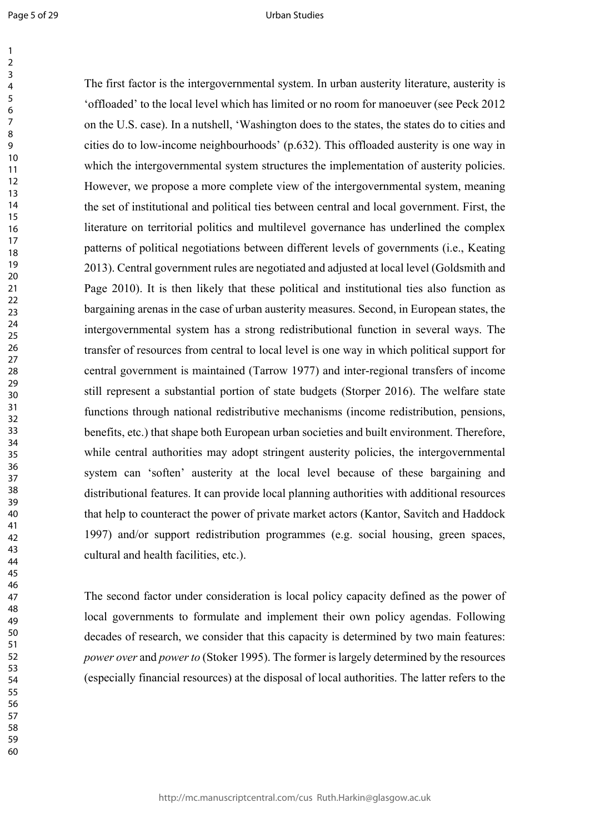Page 5 of 29

#### Urban Studies

The first factor is the intergovernmental system. In urban austerity literature, austerity is 'offloaded' to the local level which has limited or no room for manoeuver (see Peck 2012 on the U.S. case). In a nutshell, 'Washington does to the states, the states do to cities and cities do to low-income neighbourhoods' (p.632). This offloaded austerity is one way in which the intergovernmental system structures the implementation of austerity policies. However, we propose a more complete view of the intergovernmental system, meaning the set of institutional and political ties between central and local government. First, the literature on territorial politics and multilevel governance has underlined the complex patterns of political negotiations between different levels of governments (i.e., Keating 2013). Central government rules are negotiated and adjusted at local level (Goldsmith and Page 2010). It is then likely that these political and institutional ties also function as bargaining arenas in the case of urban austerity measures. Second, in European states, the intergovernmental system has a strong redistributional function in several ways. The transfer of resources from central to local level is one way in which political support for central government is maintained (Tarrow 1977) and inter-regional transfers of income still represent a substantial portion of state budgets (Storper 2016). The welfare state functions through national redistributive mechanisms (income redistribution, pensions, benefits, etc.) that shape both European urban societies and built environment. Therefore, while central authorities may adopt stringent austerity policies, the intergovernmental system can 'soften' austerity at the local level because of these bargaining and distributional features. It can provide local planning authorities with additional resources that help to counteract the power of private market actors (Kantor, Savitch and Haddock 1997) and/or support redistribution programmes (e.g. social housing, green spaces, cultural and health facilities, etc.).

The second factor under consideration is local policy capacity defined as the power of local governments to formulate and implement their own policy agendas. Following decades of research, we consider that this capacity is determined by two main features: *power over* and *power to* (Stoker 1995). The former is largely determined by the resources (especially financial resources) at the disposal of local authorities. The latter refers to the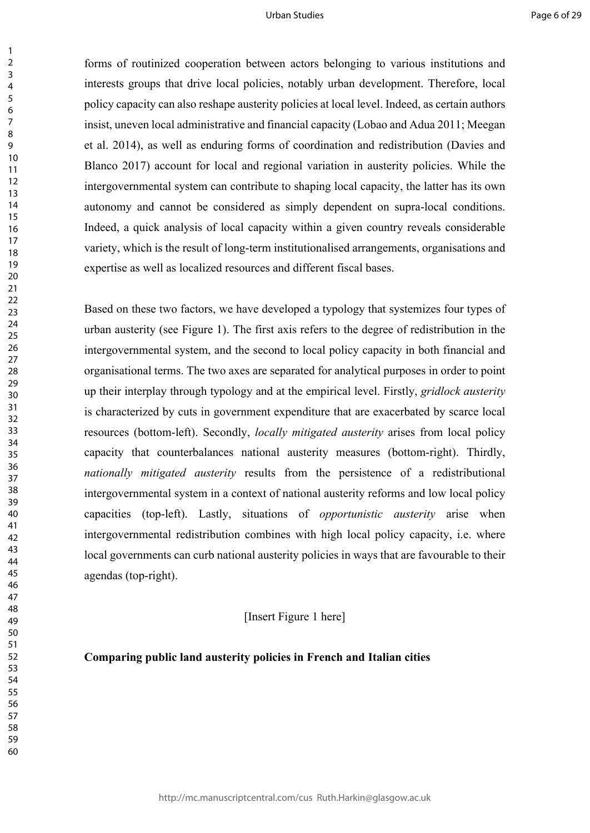forms of routinized cooperation between actors belonging to various institutions and interests groups that drive local policies, notably urban development. Therefore, local policy capacity can also reshape austerity policies at local level. Indeed, as certain authors insist, uneven local administrative and financial capacity (Lobao and Adua 2011; Meegan et al. 2014), as well as enduring forms of coordination and redistribution (Davies and Blanco 2017) account for local and regional variation in austerity policies. While the intergovernmental system can contribute to shaping local capacity, the latter has its own autonomy and cannot be considered as simply dependent on supra-local conditions. Indeed, a quick analysis of local capacity within a given country reveals considerable variety, which is the result of long-term institutionalised arrangements, organisations and expertise as well as localized resources and different fiscal bases.

Based on these two factors, we have developed a typology that systemizes four types of urban austerity (see Figure 1). The first axis refers to the degree of redistribution in the intergovernmental system, and the second to local policy capacity in both financial and organisational terms. The two axes are separated for analytical purposes in order to point up their interplay through typology and at the empirical level. Firstly, *gridlock austerity* is characterized by cuts in government expenditure that are exacerbated by scarce local resources (bottom-left). Secondly, *locally mitigated austerity* arises from local policy capacity that counterbalances national austerity measures (bottom-right). Thirdly, *nationally mitigated austerity* results from the persistence of a redistributional intergovernmental system in a context of national austerity reforms and low local policy capacities (top-left). Lastly, situations of *opportunistic austerity* arise when intergovernmental redistribution combines with high local policy capacity, i.e. where local governments can curb national austerity policies in ways that are favourable to their agendas (top-right).

[Insert Figure 1 here]

#### **Comparing public land austerity policies in French and Italian cities**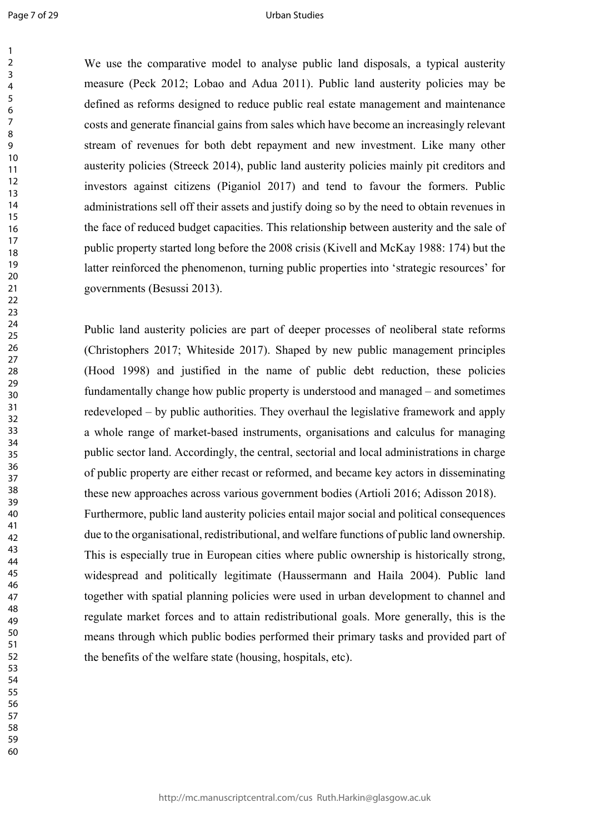Page 7 of 29

 

#### Urban Studies

We use the comparative model to analyse public land disposals, a typical austerity measure (Peck 2012; Lobao and Adua 2011). Public land austerity policies may be defined as reforms designed to reduce public real estate management and maintenance costs and generate financial gains from sales which have become an increasingly relevant stream of revenues for both debt repayment and new investment. Like many other austerity policies (Streeck 2014), public land austerity policies mainly pit creditors and investors against citizens (Piganiol 2017) and tend to favour the formers. Public administrations sell off their assets and justify doing so by the need to obtain revenues in the face of reduced budget capacities. This relationship between austerity and the sale of public property started long before the 2008 crisis (Kivell and McKay 1988: 174) but the latter reinforced the phenomenon, turning public properties into 'strategic resources' for governments (Besussi 2013).

Public land austerity policies are part of deeper processes of neoliberal state reforms (Christophers 2017; Whiteside 2017). Shaped by new public management principles (Hood 1998) and justified in the name of public debt reduction, these policies fundamentally change how public property is understood and managed – and sometimes redeveloped – by public authorities. They overhaul the legislative framework and apply a whole range of market-based instruments, organisations and calculus for managing public sector land. Accordingly, the central, sectorial and local administrations in charge of public property are either recast or reformed, and became key actors in disseminating these new approaches across various government bodies (Artioli 2016; Adisson 2018). Furthermore, public land austerity policies entail major social and political consequences due to the organisational, redistributional, and welfare functions of public land ownership. This is especially true in European cities where public ownership is historically strong, widespread and politically legitimate (Haussermann and Haila 2004). Public land together with spatial planning policies were used in urban development to channel and regulate market forces and to attain redistributional goals. More generally, this is the means through which public bodies performed their primary tasks and provided part of the benefits of the welfare state (housing, hospitals, etc).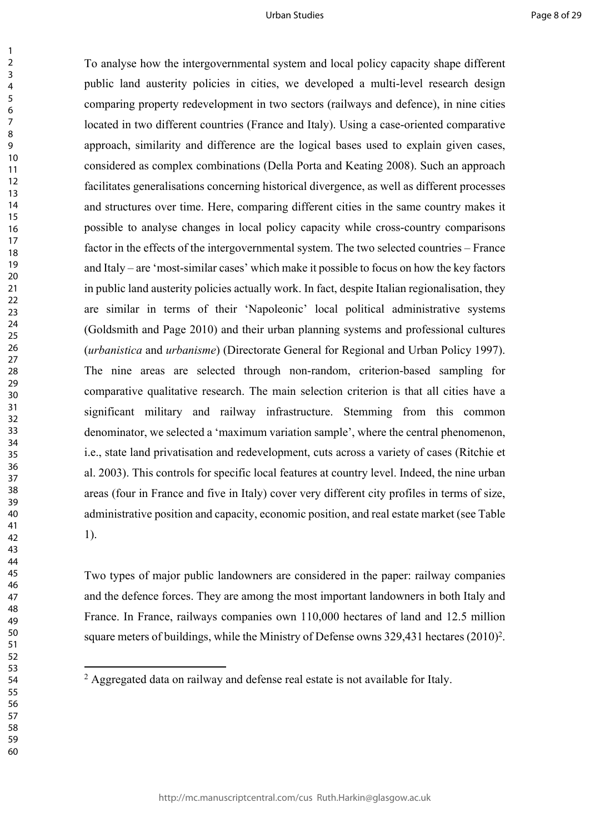To analyse how the intergovernmental system and local policy capacity shape different public land austerity policies in cities, we developed a multi-level research design comparing property redevelopment in two sectors (railways and defence), in nine cities located in two different countries (France and Italy). Using a case-oriented comparative approach, similarity and difference are the logical bases used to explain given cases, considered as complex combinations (Della Porta and Keating 2008). Such an approach facilitates generalisations concerning historical divergence, as well as different processes and structures over time. Here, comparing different cities in the same country makes it possible to analyse changes in local policy capacity while cross-country comparisons factor in the effects of the intergovernmental system. The two selected countries – France and Italy – are 'most-similar cases' which make it possible to focus on how the key factors in public land austerity policies actually work. In fact, despite Italian regionalisation, they are similar in terms of their 'Napoleonic' local political administrative systems (Goldsmith and Page 2010) and their urban planning systems and professional cultures (*urbanistica* and *urbanisme*) (Directorate General for Regional and Urban Policy 1997). The nine areas are selected through non-random, criterion-based sampling for comparative qualitative research. The main selection criterion is that all cities have a significant military and railway infrastructure. Stemming from this common denominator, we selected a 'maximum variation sample', where the central phenomenon, i.e., state land privatisation and redevelopment, cuts across a variety of cases (Ritchie et al. 2003). This controls for specific local features at country level. Indeed, the nine urban areas (four in France and five in Italy) cover very different city profiles in terms of size, administrative position and capacity, economic position, and real estate market (see Table 1).

Two types of major public landowners are considered in the paper: railway companies and the defence forces. They are among the most important landowners in both Italy and France. In France, railways companies own 110,000 hectares of land and 12.5 million square meters of buildings, while the Ministry of Defense owns 329,431 hectares (2010)<sup>2</sup>.

<sup>&</sup>lt;sup>2</sup> Aggregated data on railway and defense real estate is not available for Italy.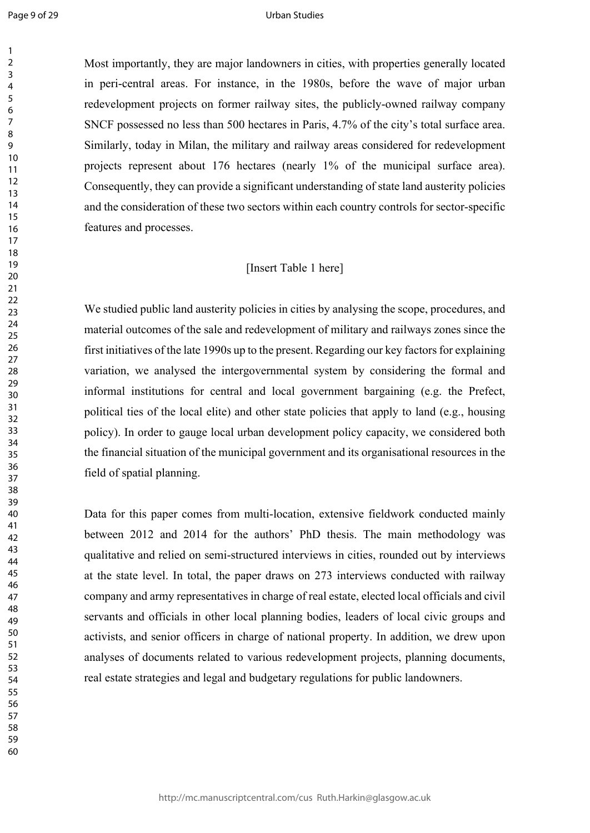Page 9 of 29

 

#### Urban Studies

Most importantly, they are major landowners in cities, with properties generally located in peri-central areas. For instance, in the 1980s, before the wave of major urban redevelopment projects on former railway sites, the publicly-owned railway company SNCF possessed no less than 500 hectares in Paris, 4.7% of the city's total surface area. Similarly, today in Milan, the military and railway areas considered for redevelopment projects represent about 176 hectares (nearly 1% of the municipal surface area). Consequently, they can provide a significant understanding of state land austerity policies and the consideration of these two sectors within each country controls for sector-specific features and processes.

## [Insert Table 1 here]

We studied public land austerity policies in cities by analysing the scope, procedures, and material outcomes of the sale and redevelopment of military and railways zones since the first initiatives of the late 1990s up to the present. Regarding our key factors for explaining variation, we analysed the intergovernmental system by considering the formal and informal institutions for central and local government bargaining (e.g. the Prefect, political ties of the local elite) and other state policies that apply to land (e.g., housing policy). In order to gauge local urban development policy capacity, we considered both the financial situation of the municipal government and its organisational resources in the field of spatial planning.

Data for this paper comes from multi-location, extensive fieldwork conducted mainly between 2012 and 2014 for the authors' PhD thesis. The main methodology was qualitative and relied on semi-structured interviews in cities, rounded out by interviews at the state level. In total, the paper draws on 273 interviews conducted with railway company and army representatives in charge of real estate, elected local officials and civil servants and officials in other local planning bodies, leaders of local civic groups and activists, and senior officers in charge of national property. In addition, we drew upon analyses of documents related to various redevelopment projects, planning documents, real estate strategies and legal and budgetary regulations for public landowners.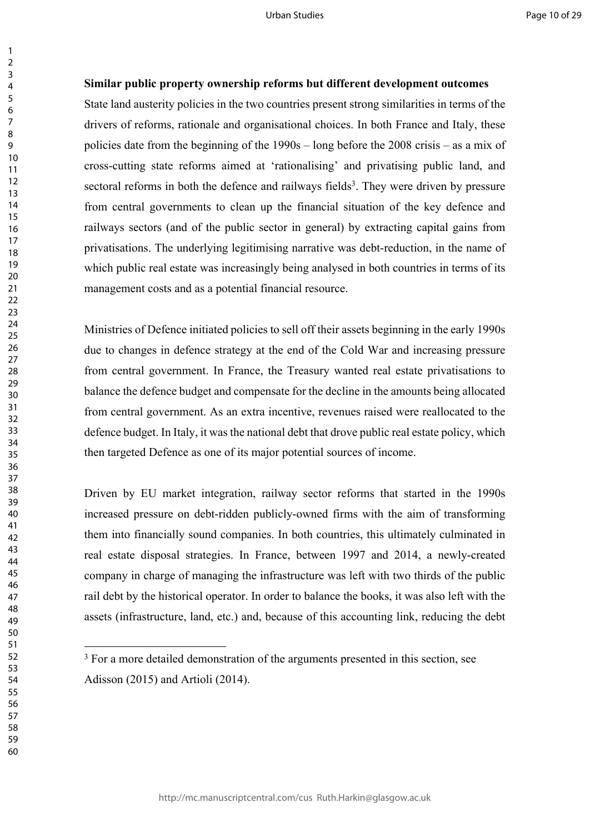### **Similar public property ownership reforms but different development outcomes**

State land austerity policies in the two countries present strong similarities in terms of the drivers of reforms, rationale and organisational choices. In both France and Italy, these policies date from the beginning of the 1990s – long before the 2008 crisis – as a mix of cross-cutting state reforms aimed at 'rationalising' and privatising public land, and sectoral reforms in both the defence and railways fields<sup>3</sup>. They were driven by pressure from central governments to clean up the financial situation of the key defence and railways sectors (and of the public sector in general) by extracting capital gains from privatisations. The underlying legitimising narrative was debt-reduction, in the name of which public real estate was increasingly being analysed in both countries in terms of its management costs and as a potential financial resource.

Ministries of Defence initiated policies to sell off their assets beginning in the early 1990s due to changes in defence strategy at the end of the Cold War and increasing pressure from central government. In France, the Treasury wanted real estate privatisations to balance the defence budget and compensate for the decline in the amounts being allocated from central government. As an extra incentive, revenues raised were reallocated to the defence budget. In Italy, it was the national debt that drove public real estate policy, which then targeted Defence as one of its major potential sources of income.

Driven by EU market integration, railway sector reforms that started in the 1990s increased pressure on debt-ridden publicly-owned firms with the aim of transforming them into financially sound companies. In both countries, this ultimately culminated in real estate disposal strategies. In France, between 1997 and 2014, a newly-created company in charge of managing the infrastructure was left with two thirds of the public rail debt by the historical operator. In order to balance the books, it was also left with the assets (infrastructure, land, etc.) and, because of this accounting link, reducing the debt

<sup>&</sup>lt;sup>3</sup> For a more detailed demonstration of the arguments presented in this section, see Adisson (2015) and Artioli (2014).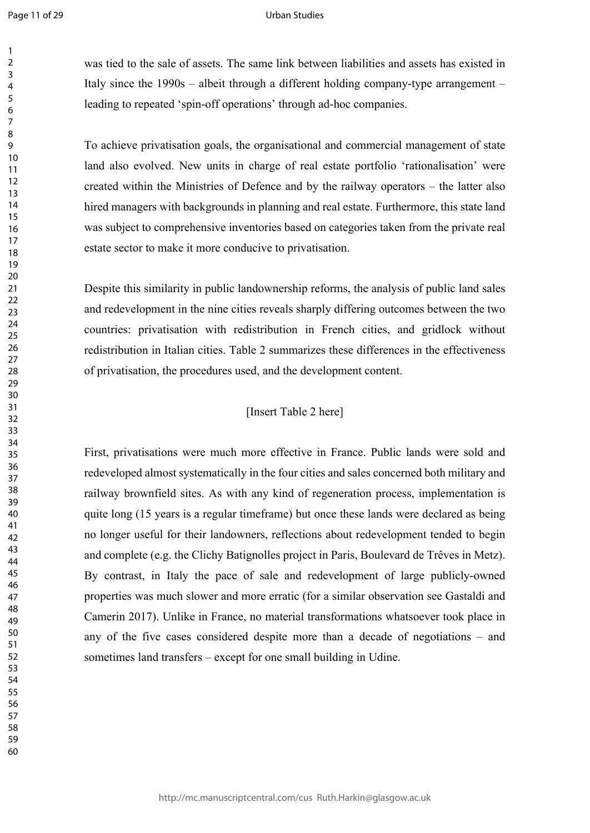#### Urban Studies

was tied to the sale of assets. The same link between liabilities and assets has existed in Italy since the 1990s – albeit through a different holding company-type arrangement – leading to repeated 'spin-off operations' through ad-hoc companies.

To achieve privatisation goals, the organisational and commercial management of state land also evolved. New units in charge of real estate portfolio 'rationalisation' were created within the Ministries of Defence and by the railway operators – the latter also hired managers with backgrounds in planning and real estate. Furthermore, this state land was subject to comprehensive inventories based on categories taken from the private real estate sector to make it more conducive to privatisation.

Despite this similarity in public landownership reforms, the analysis of public land sales and redevelopment in the nine cities reveals sharply differing outcomes between the two countries: privatisation with redistribution in French cities, and gridlock without redistribution in Italian cities. Table 2 summarizes these differences in the effectiveness of privatisation, the procedures used, and the development content.

## [Insert Table 2 here]

First, privatisations were much more effective in France. Public lands were sold and redeveloped almost systematically in the four cities and sales concerned both military and railway brownfield sites. As with any kind of regeneration process, implementation is quite long (15 years is a regular timeframe) but once these lands were declared as being no longer useful for their landowners, reflections about redevelopment tended to begin and complete (e.g. the Clichy Batignolles project in Paris, Boulevard de Trêves in Metz). By contrast, in Italy the pace of sale and redevelopment of large publicly-owned properties was much slower and more erratic (for a similar observation see Gastaldi and Camerin 2017). Unlike in France, no material transformations whatsoever took place in any of the five cases considered despite more than a decade of negotiations – and sometimes land transfers – except for one small building in Udine.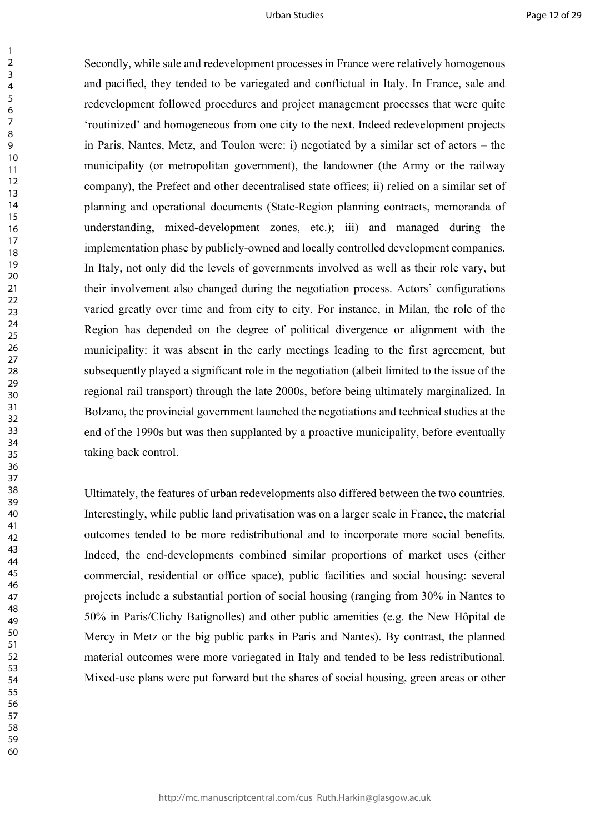Secondly, while sale and redevelopment processes in France were relatively homogenous and pacified, they tended to be variegated and conflictual in Italy. In France, sale and redevelopment followed procedures and project management processes that were quite 'routinized' and homogeneous from one city to the next. Indeed redevelopment projects in Paris, Nantes, Metz, and Toulon were: i) negotiated by a similar set of actors – the municipality (or metropolitan government), the landowner (the Army or the railway company), the Prefect and other decentralised state offices; ii) relied on a similar set of planning and operational documents (State-Region planning contracts, memoranda of understanding, mixed-development zones, etc.); iii) and managed during the implementation phase by publicly-owned and locally controlled development companies. In Italy, not only did the levels of governments involved as well as their role vary, but their involvement also changed during the negotiation process. Actors' configurations varied greatly over time and from city to city. For instance, in Milan, the role of the Region has depended on the degree of political divergence or alignment with the municipality: it was absent in the early meetings leading to the first agreement, but subsequently played a significant role in the negotiation (albeit limited to the issue of the regional rail transport) through the late 2000s, before being ultimately marginalized. In Bolzano, the provincial government launched the negotiations and technical studies at the end of the 1990s but was then supplanted by a proactive municipality, before eventually taking back control.

Ultimately, the features of urban redevelopments also differed between the two countries. Interestingly, while public land privatisation was on a larger scale in France, the material outcomes tended to be more redistributional and to incorporate more social benefits. Indeed, the end-developments combined similar proportions of market uses (either commercial, residential or office space), public facilities and social housing: several projects include a substantial portion of social housing (ranging from 30% in Nantes to 50% in Paris/Clichy Batignolles) and other public amenities (e.g. the New Hôpital de Mercy in Metz or the big public parks in Paris and Nantes). By contrast, the planned material outcomes were more variegated in Italy and tended to be less redistributional. Mixed-use plans were put forward but the shares of social housing, green areas or other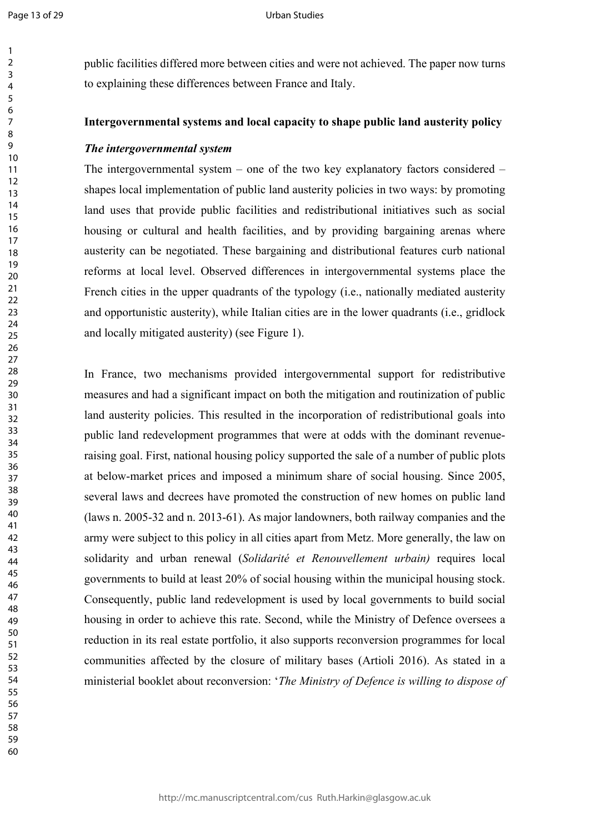#### Urban Studies

public facilities differed more between cities and were not achieved. The paper now turns to explaining these differences between France and Italy.

### **Intergovernmental systems and local capacity to shape public land austerity policy**

## *The intergovernmental system*

The intergovernmental system – one of the two key explanatory factors considered – shapes local implementation of public land austerity policies in two ways: by promoting land uses that provide public facilities and redistributional initiatives such as social housing or cultural and health facilities, and by providing bargaining arenas where austerity can be negotiated. These bargaining and distributional features curb national reforms at local level. Observed differences in intergovernmental systems place the French cities in the upper quadrants of the typology (i.e., nationally mediated austerity and opportunistic austerity), while Italian cities are in the lower quadrants (i.e., gridlock and locally mitigated austerity) (see Figure 1).

In France, two mechanisms provided intergovernmental support for redistributive measures and had a significant impact on both the mitigation and routinization of public land austerity policies. This resulted in the incorporation of redistributional goals into public land redevelopment programmes that were at odds with the dominant revenueraising goal. First, national housing policy supported the sale of a number of public plots at below-market prices and imposed a minimum share of social housing. Since 2005, several laws and decrees have promoted the construction of new homes on public land (laws n. 2005-32 and n. 2013-61). As major landowners, both railway companies and the army were subject to this policy in all cities apart from Metz. More generally, the law on solidarity and urban renewal (*Solidarité et Renouvellement urbain)* requires local governments to build at least 20% of social housing within the municipal housing stock. Consequently, public land redevelopment is used by local governments to build social housing in order to achieve this rate. Second, while the Ministry of Defence oversees a reduction in its real estate portfolio, it also supports reconversion programmes for local communities affected by the closure of military bases (Artioli 2016). As stated in a ministerial booklet about reconversion: '*The Ministry of Defence is willing to dispose of*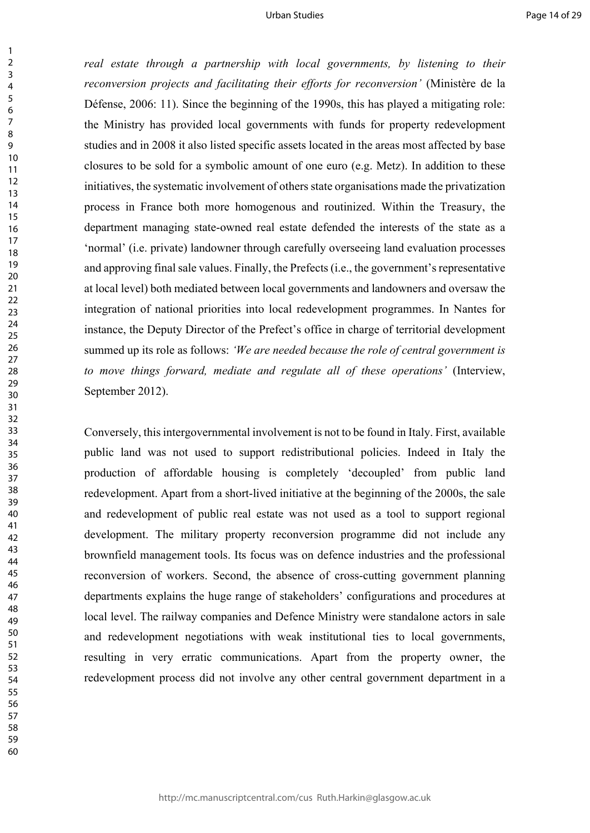*real estate through a partnership with local governments, by listening to their reconversion projects and facilitating their efforts for reconversion'* (Ministère de la Défense, 2006: 11). Since the beginning of the 1990s, this has played a mitigating role: the Ministry has provided local governments with funds for property redevelopment studies and in 2008 it also listed specific assets located in the areas most affected by base closures to be sold for a symbolic amount of one euro (e.g. Metz). In addition to these initiatives, the systematic involvement of others state organisations made the privatization process in France both more homogenous and routinized. Within the Treasury, the department managing state-owned real estate defended the interests of the state as a 'normal' (i.e. private) landowner through carefully overseeing land evaluation processes and approving final sale values. Finally, the Prefects (i.e., the government's representative at local level) both mediated between local governments and landowners and oversaw the integration of national priorities into local redevelopment programmes. In Nantes for instance, the Deputy Director of the Prefect's office in charge of territorial development summed up its role as follows: *'We are needed because the role of central government is to move things forward, mediate and regulate all of these operations'* (Interview, September 2012).

Conversely, this intergovernmental involvement is not to be found in Italy. First, available public land was not used to support redistributional policies. Indeed in Italy the production of affordable housing is completely 'decoupled' from public land redevelopment. Apart from a short-lived initiative at the beginning of the 2000s, the sale and redevelopment of public real estate was not used as a tool to support regional development. The military property reconversion programme did not include any brownfield management tools. Its focus was on defence industries and the professional reconversion of workers. Second, the absence of cross-cutting government planning departments explains the huge range of stakeholders' configurations and procedures at local level. The railway companies and Defence Ministry were standalone actors in sale and redevelopment negotiations with weak institutional ties to local governments, resulting in very erratic communications. Apart from the property owner, the redevelopment process did not involve any other central government department in a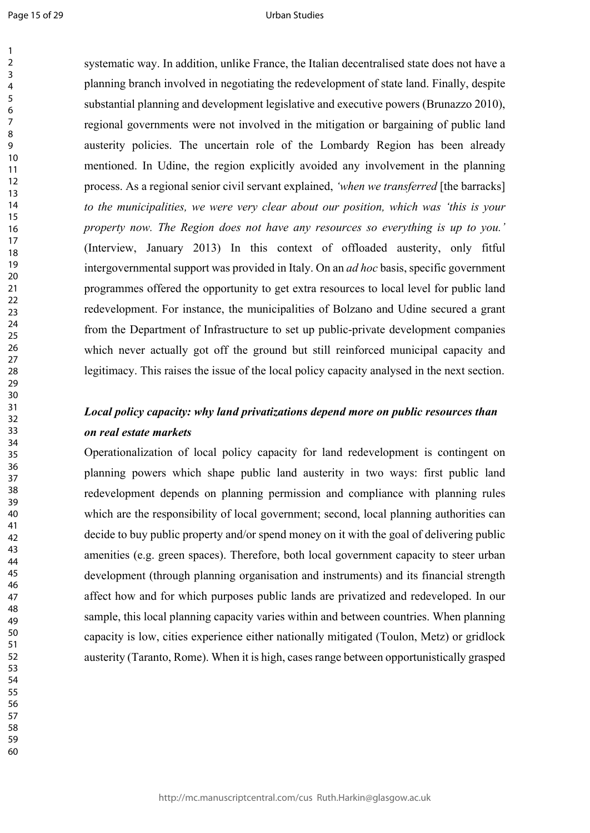#### Urban Studies

systematic way. In addition, unlike France, the Italian decentralised state does not have a planning branch involved in negotiating the redevelopment of state land. Finally, despite substantial planning and development legislative and executive powers (Brunazzo 2010), regional governments were not involved in the mitigation or bargaining of public land austerity policies. The uncertain role of the Lombardy Region has been already mentioned. In Udine, the region explicitly avoided any involvement in the planning process. As a regional senior civil servant explained, *'when we transferred* [the barracks] *to the municipalities, we were very clear about our position, which was 'this is your property now. The Region does not have any resources so everything is up to you.'* (Interview, January 2013) In this context of offloaded austerity, only fitful intergovernmental support was provided in Italy. On an *ad hoc* basis, specific government programmes offered the opportunity to get extra resources to local level for public land redevelopment. For instance, the municipalities of Bolzano and Udine secured a grant from the Department of Infrastructure to set up public-private development companies which never actually got off the ground but still reinforced municipal capacity and legitimacy. This raises the issue of the local policy capacity analysed in the next section.

## *Local policy capacity: why land privatizations depend more on public resources than on real estate markets*

Operationalization of local policy capacity for land redevelopment is contingent on planning powers which shape public land austerity in two ways: first public land redevelopment depends on planning permission and compliance with planning rules which are the responsibility of local government; second, local planning authorities can decide to buy public property and/or spend money on it with the goal of delivering public amenities (e.g. green spaces). Therefore, both local government capacity to steer urban development (through planning organisation and instruments) and its financial strength affect how and for which purposes public lands are privatized and redeveloped. In our sample, this local planning capacity varies within and between countries. When planning capacity is low, cities experience either nationally mitigated (Toulon, Metz) or gridlock austerity (Taranto, Rome). When it is high, cases range between opportunistically grasped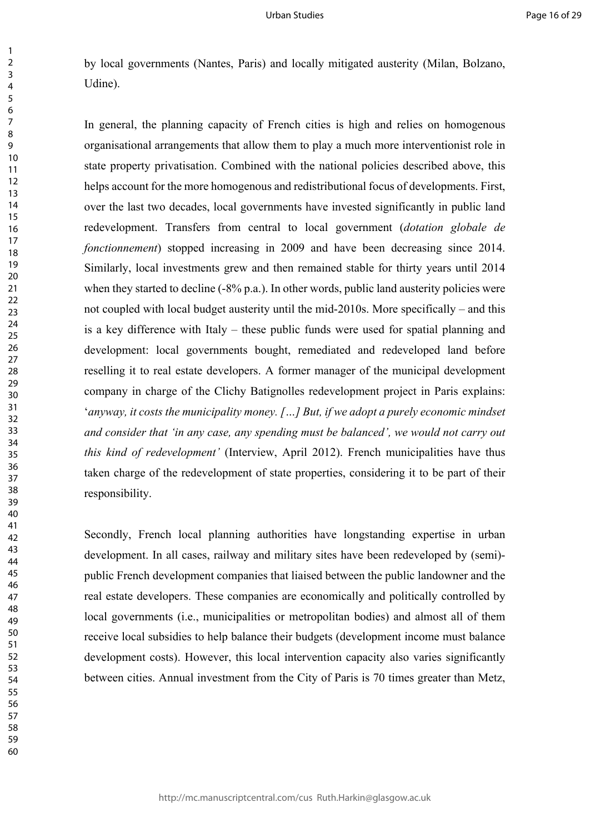by local governments (Nantes, Paris) and locally mitigated austerity (Milan, Bolzano, Udine).

In general, the planning capacity of French cities is high and relies on homogenous organisational arrangements that allow them to play a much more interventionist role in state property privatisation. Combined with the national policies described above, this helps account for the more homogenous and redistributional focus of developments. First, over the last two decades, local governments have invested significantly in public land redevelopment. Transfers from central to local government (*dotation globale de fonctionnement*) stopped increasing in 2009 and have been decreasing since 2014. Similarly, local investments grew and then remained stable for thirty years until 2014 when they started to decline (-8% p.a.). In other words, public land austerity policies were not coupled with local budget austerity until the mid-2010s. More specifically – and this is a key difference with Italy – these public funds were used for spatial planning and development: local governments bought, remediated and redeveloped land before reselling it to real estate developers. A former manager of the municipal development company in charge of the Clichy Batignolles redevelopment project in Paris explains: '*anyway, it costs the municipality money. […] But, if we adopt a purely economic mindset and consider that 'in any case, any spending must be balanced', we would not carry out this kind of redevelopment'* (Interview, April 2012). French municipalities have thus taken charge of the redevelopment of state properties, considering it to be part of their responsibility.

Secondly, French local planning authorities have longstanding expertise in urban development. In all cases, railway and military sites have been redeveloped by (semi) public French development companies that liaised between the public landowner and the real estate developers. These companies are economically and politically controlled by local governments (i.e., municipalities or metropolitan bodies) and almost all of them receive local subsidies to help balance their budgets (development income must balance development costs). However, this local intervention capacity also varies significantly between cities. Annual investment from the City of Paris is 70 times greater than Metz,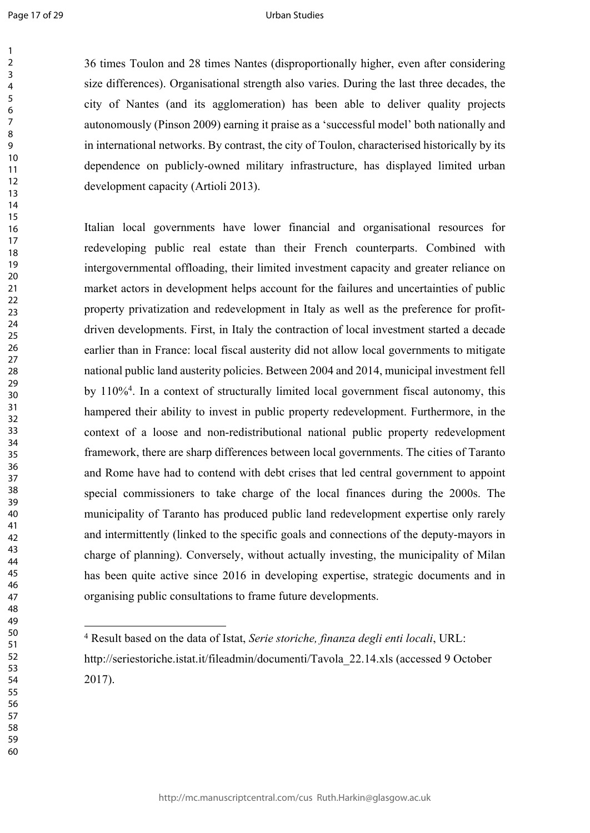#### Urban Studies

36 times Toulon and 28 times Nantes (disproportionally higher, even after considering size differences). Organisational strength also varies. During the last three decades, the city of Nantes (and its agglomeration) has been able to deliver quality projects autonomously (Pinson 2009) earning it praise as a 'successful model' both nationally and in international networks. By contrast, the city of Toulon, characterised historically by its dependence on publicly-owned military infrastructure, has displayed limited urban development capacity (Artioli 2013).

Italian local governments have lower financial and organisational resources for redeveloping public real estate than their French counterparts. Combined with intergovernmental offloading, their limited investment capacity and greater reliance on market actors in development helps account for the failures and uncertainties of public property privatization and redevelopment in Italy as well as the preference for profitdriven developments. First, in Italy the contraction of local investment started a decade earlier than in France: local fiscal austerity did not allow local governments to mitigate national public land austerity policies. Between 2004 and 2014, municipal investment fell by 110%<sup>4</sup> . In a context of structurally limited local government fiscal autonomy, this hampered their ability to invest in public property redevelopment. Furthermore, in the context of a loose and non-redistributional national public property redevelopment framework, there are sharp differences between local governments. The cities of Taranto and Rome have had to contend with debt crises that led central government to appoint special commissioners to take charge of the local finances during the 2000s. The municipality of Taranto has produced public land redevelopment expertise only rarely and intermittently (linked to the specific goals and connections of the deputy-mayors in charge of planning). Conversely, without actually investing, the municipality of Milan has been quite active since 2016 in developing expertise, strategic documents and in organising public consultations to frame future developments.

Result based on the data of Istat, *Serie storiche, finanza degli enti locali*, URL:

http://seriestoriche.istat.it/fileadmin/documenti/Tavola\_22.14.xls (accessed 9 October 2017).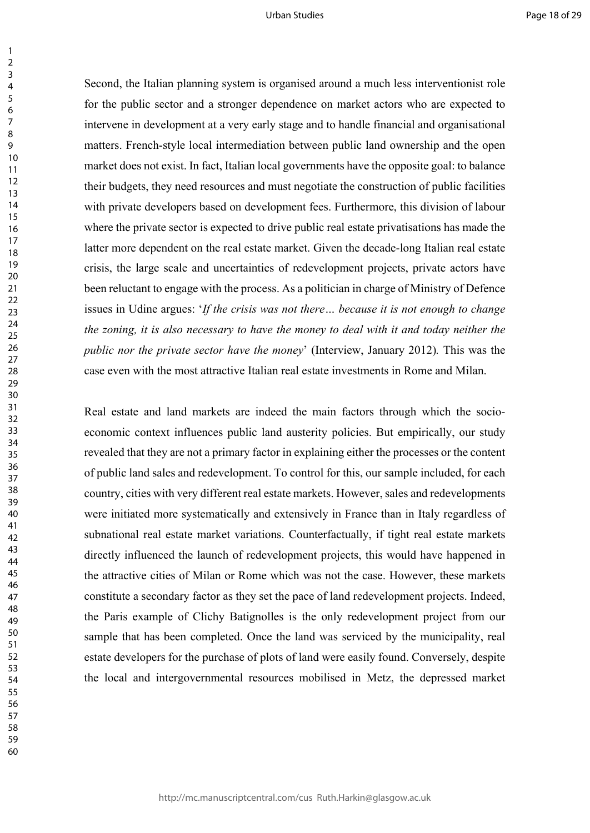Second, the Italian planning system is organised around a much less interventionist role for the public sector and a stronger dependence on market actors who are expected to intervene in development at a very early stage and to handle financial and organisational matters. French-style local intermediation between public land ownership and the open market does not exist. In fact, Italian local governments have the opposite goal: to balance their budgets, they need resources and must negotiate the construction of public facilities with private developers based on development fees. Furthermore, this division of labour where the private sector is expected to drive public real estate privatisations has made the latter more dependent on the real estate market. Given the decade-long Italian real estate crisis, the large scale and uncertainties of redevelopment projects, private actors have been reluctant to engage with the process. As a politician in charge of Ministry of Defence issues in Udine argues: '*If the crisis was not there… because it is not enough to change the zoning, it is also necessary to have the money to deal with it and today neither the public nor the private sector have the money*' (Interview, January 2012)*.* This was the case even with the most attractive Italian real estate investments in Rome and Milan.

Real estate and land markets are indeed the main factors through which the socioeconomic context influences public land austerity policies. But empirically, our study revealed that they are not a primary factor in explaining either the processes or the content of public land sales and redevelopment. To control for this, our sample included, for each country, cities with very different real estate markets. However, sales and redevelopments were initiated more systematically and extensively in France than in Italy regardless of subnational real estate market variations. Counterfactually, if tight real estate markets directly influenced the launch of redevelopment projects, this would have happened in the attractive cities of Milan or Rome which was not the case. However, these markets constitute a secondary factor as they set the pace of land redevelopment projects. Indeed, the Paris example of Clichy Batignolles is the only redevelopment project from our sample that has been completed. Once the land was serviced by the municipality, real estate developers for the purchase of plots of land were easily found. Conversely, despite the local and intergovernmental resources mobilised in Metz, the depressed market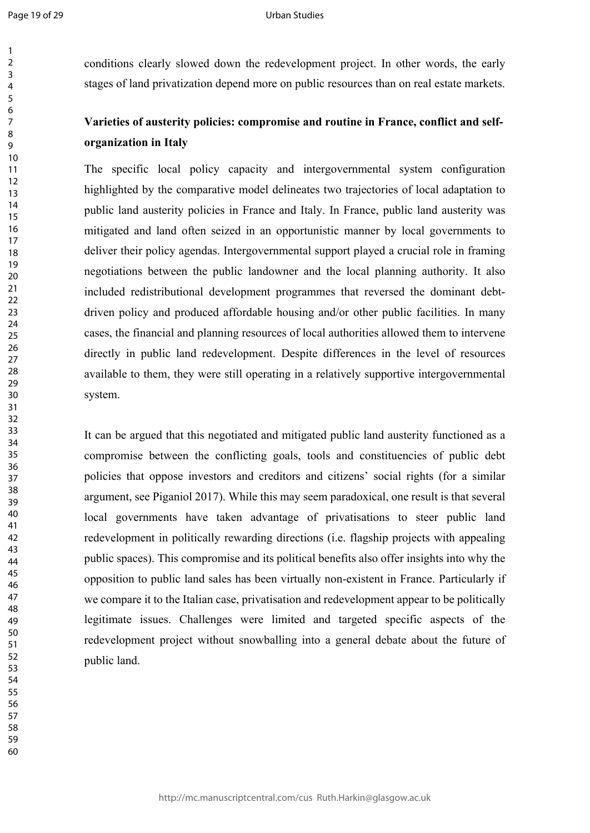#### Urban Studies

conditions clearly slowed down the redevelopment project. In other words, the early stages of land privatization depend more on public resources than on real estate markets.

## **Varieties of austerity policies: compromise and routine in France, conflict and selforganization in Italy**

The specific local policy capacity and intergovernmental system configuration highlighted by the comparative model delineates two trajectories of local adaptation to public land austerity policies in France and Italy. In France, public land austerity was mitigated and land often seized in an opportunistic manner by local governments to deliver their policy agendas. Intergovernmental support played a crucial role in framing negotiations between the public landowner and the local planning authority. It also included redistributional development programmes that reversed the dominant debtdriven policy and produced affordable housing and/or other public facilities. In many cases, the financial and planning resources of local authorities allowed them to intervene directly in public land redevelopment. Despite differences in the level of resources available to them, they were still operating in a relatively supportive intergovernmental system.

It can be argued that this negotiated and mitigated public land austerity functioned as a compromise between the conflicting goals, tools and constituencies of public debt policies that oppose investors and creditors and citizens' social rights (for a similar argument, see Piganiol 2017). While this may seem paradoxical, one result is that several local governments have taken advantage of privatisations to steer public land redevelopment in politically rewarding directions (i.e. flagship projects with appealing public spaces). This compromise and its political benefits also offer insights into why the opposition to public land sales has been virtually non-existent in France. Particularly if we compare it to the Italian case, privatisation and redevelopment appear to be politically legitimate issues. Challenges were limited and targeted specific aspects of the redevelopment project without snowballing into a general debate about the future of public land.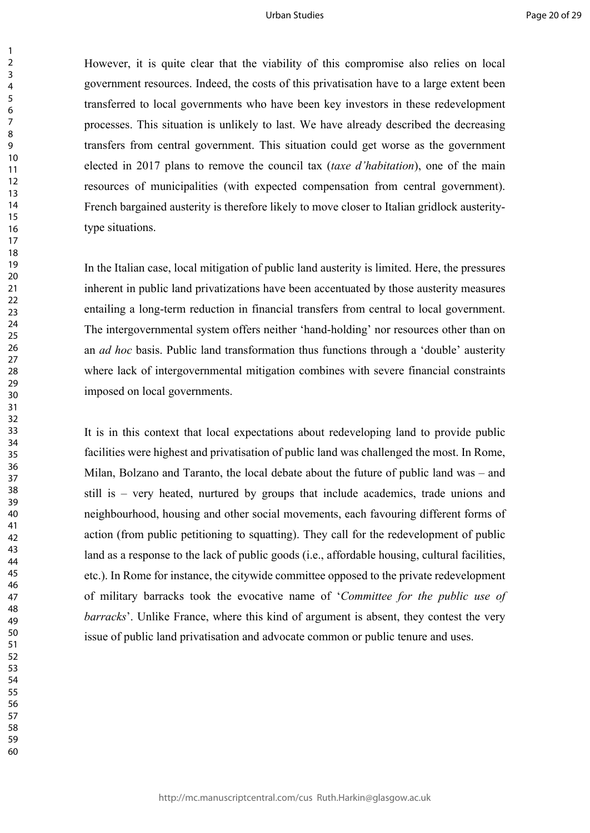However, it is quite clear that the viability of this compromise also relies on local government resources. Indeed, the costs of this privatisation have to a large extent been transferred to local governments who have been key investors in these redevelopment processes. This situation is unlikely to last. We have already described the decreasing transfers from central government. This situation could get worse as the government elected in 2017 plans to remove the council tax (*taxe d'habitation*), one of the main resources of municipalities (with expected compensation from central government). French bargained austerity is therefore likely to move closer to Italian gridlock austeritytype situations.

In the Italian case, local mitigation of public land austerity is limited. Here, the pressures inherent in public land privatizations have been accentuated by those austerity measures entailing a long-term reduction in financial transfers from central to local government. The intergovernmental system offers neither 'hand-holding' nor resources other than on an *ad hoc* basis. Public land transformation thus functions through a 'double' austerity where lack of intergovernmental mitigation combines with severe financial constraints imposed on local governments.

It is in this context that local expectations about redeveloping land to provide public facilities were highest and privatisation of public land was challenged the most. In Rome, Milan, Bolzano and Taranto, the local debate about the future of public land was – and still is – very heated, nurtured by groups that include academics, trade unions and neighbourhood, housing and other social movements, each favouring different forms of action (from public petitioning to squatting). They call for the redevelopment of public land as a response to the lack of public goods (i.e., affordable housing, cultural facilities, etc.). In Rome for instance, the citywide committee opposed to the private redevelopment of military barracks took the evocative name of '*Committee for the public use of barracks*'. Unlike France, where this kind of argument is absent, they contest the very issue of public land privatisation and advocate common or public tenure and uses.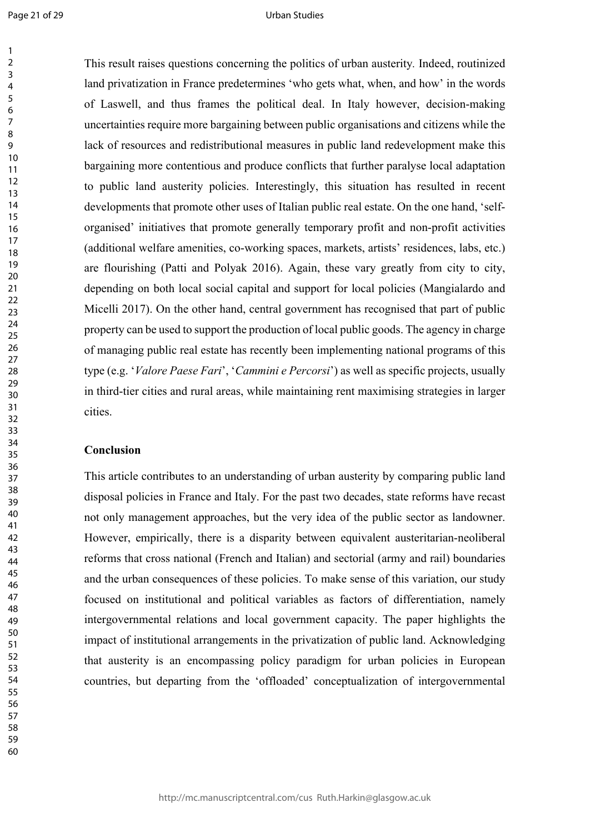#### Urban Studies

This result raises questions concerning the politics of urban austerity*.* Indeed, routinized land privatization in France predetermines 'who gets what, when, and how' in the words of Laswell, and thus frames the political deal. In Italy however, decision-making uncertainties require more bargaining between public organisations and citizens while the lack of resources and redistributional measures in public land redevelopment make this bargaining more contentious and produce conflicts that further paralyse local adaptation to public land austerity policies. Interestingly, this situation has resulted in recent developments that promote other uses of Italian public real estate. On the one hand, 'selforganised' initiatives that promote generally temporary profit and non-profit activities (additional welfare amenities, co-working spaces, markets, artists' residences, labs, etc.) are flourishing (Patti and Polyak 2016). Again, these vary greatly from city to city, depending on both local social capital and support for local policies (Mangialardo and Micelli 2017). On the other hand, central government has recognised that part of public property can be used to support the production of local public goods. The agency in charge of managing public real estate has recently been implementing national programs of this type (e.g. '*Valore Paese Fari*', '*Cammini e Percorsi*') as well as specific projects, usually in third-tier cities and rural areas, while maintaining rent maximising strategies in larger cities.

## **Conclusion**

This article contributes to an understanding of urban austerity by comparing public land disposal policies in France and Italy. For the past two decades, state reforms have recast not only management approaches, but the very idea of the public sector as landowner. However, empirically, there is a disparity between equivalent austeritarian-neoliberal reforms that cross national (French and Italian) and sectorial (army and rail) boundaries and the urban consequences of these policies. To make sense of this variation, our study focused on institutional and political variables as factors of differentiation, namely intergovernmental relations and local government capacity. The paper highlights the impact of institutional arrangements in the privatization of public land. Acknowledging that austerity is an encompassing policy paradigm for urban policies in European countries, but departing from the 'offloaded' conceptualization of intergovernmental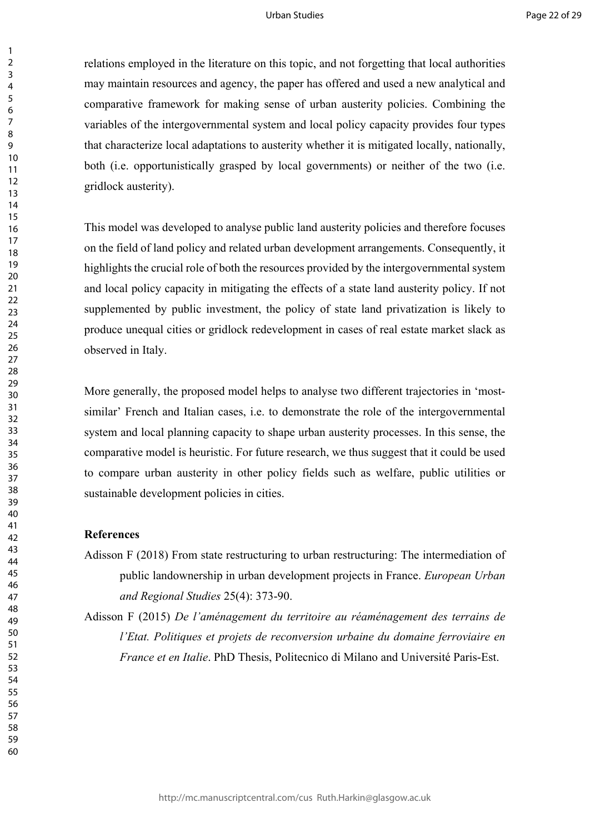relations employed in the literature on this topic, and not forgetting that local authorities may maintain resources and agency, the paper has offered and used a new analytical and comparative framework for making sense of urban austerity policies. Combining the variables of the intergovernmental system and local policy capacity provides four types that characterize local adaptations to austerity whether it is mitigated locally, nationally, both (i.e. opportunistically grasped by local governments) or neither of the two (i.e. gridlock austerity).

This model was developed to analyse public land austerity policies and therefore focuses on the field of land policy and related urban development arrangements. Consequently, it highlights the crucial role of both the resources provided by the intergovernmental system and local policy capacity in mitigating the effects of a state land austerity policy. If not supplemented by public investment, the policy of state land privatization is likely to produce unequal cities or gridlock redevelopment in cases of real estate market slack as observed in Italy.

More generally, the proposed model helps to analyse two different trajectories in 'mostsimilar' French and Italian cases, i.e. to demonstrate the role of the intergovernmental system and local planning capacity to shape urban austerity processes. In this sense, the comparative model is heuristic. For future research, we thus suggest that it could be used to compare urban austerity in other policy fields such as welfare, public utilities or sustainable development policies in cities.

#### **References**

Adisson F (2018) From state restructuring to urban restructuring: The intermediation of public landownership in urban development projects in France. *European Urban and Regional Studies* 25(4): 373-90.

Adisson F (2015) *De l'aménagement du territoire au réaménagement des terrains de l'Etat. Politiques et projets de reconversion urbaine du domaine ferroviaire en France et en Italie*. PhD Thesis, Politecnico di Milano and Université Paris-Est.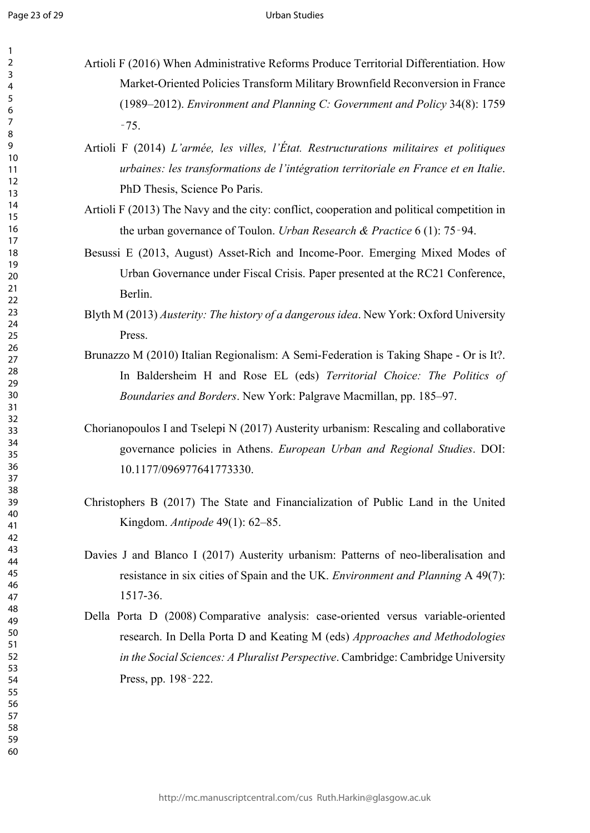#### Urban Studies

- Artioli F (2016) When Administrative Reforms Produce Territorial Differentiation. How Market-Oriented Policies Transform Military Brownfield Reconversion in France (1989–2012). *Environment and Planning C: Government and Policy* 34(8): 1759 ‑75.
	- Artioli F (2014) *L'armée, les villes, l'État. Restructurations militaires et politiques urbaines: les transformations de l'intégration territoriale en France et en Italie*. PhD Thesis, Science Po Paris.
	- Artioli F (2013) The Navy and the city: conflict, cooperation and political competition in the urban governance of Toulon. *Urban Research & Practice* 6 (1): 75‑94.
	- Besussi E (2013, August) Asset-Rich and Income-Poor. Emerging Mixed Modes of Urban Governance under Fiscal Crisis. Paper presented at the RC21 Conference, Berlin.
	- Blyth M (2013) *Austerity: The history of a dangerous idea*. New York: Oxford University Press.
	- Brunazzo M (2010) Italian Regionalism: A Semi-Federation is Taking Shape Or is It?. In Baldersheim H and Rose EL (eds) *Territorial Choice: The Politics of Boundaries and Borders*. New York: Palgrave Macmillan, pp. 185–97.
	- Chorianopoulos I and Tselepi N (2017) Austerity urbanism: Rescaling and collaborative governance policies in Athens. *European Urban and Regional Studies*. DOI: 10.1177/096977641773330.
	- Christophers B (2017) The State and Financialization of Public Land in the United Kingdom. *Antipode* 49(1): 62–85.
	- Davies J and Blanco I (2017) Austerity urbanism: Patterns of neo-liberalisation and resistance in six cities of Spain and the UK. *Environment and Planning* A 49(7): 1517-36.
	- Della Porta D (2008) Comparative analysis: case-oriented versus variable-oriented research. In Della Porta D and Keating M (eds) *Approaches and Methodologies in the Social Sciences: A Pluralist Perspective*. Cambridge: Cambridge University Press, pp. 198‑222.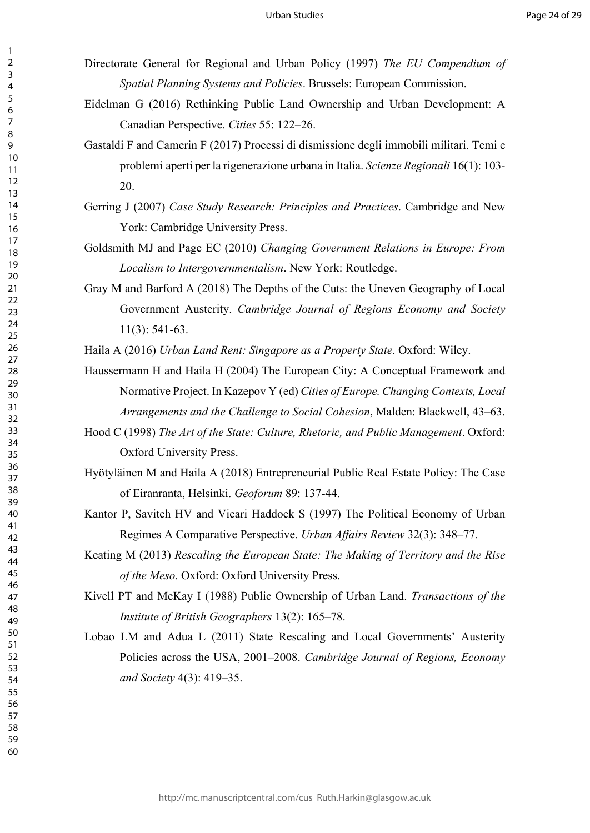- Directorate General for Regional and Urban Policy (1997) *The EU Compendium of Spatial Planning Systems and Policies*. Brussels: European Commission.
- Eidelman G (2016) Rethinking Public Land Ownership and Urban Development: A Canadian Perspective. *Cities* 55: 122–26.
- Gastaldi F and Camerin F (2017) Processi di dismissione degli immobili militari. Temi e problemi aperti per la rigenerazione urbana in Italia. *Scienze Regionali* 16(1): 103- 20.
- Gerring J (2007) *Case Study Research: Principles and Practices*. Cambridge and New York: Cambridge University Press.
- Goldsmith MJ and Page EC (2010) *Changing Government Relations in Europe: From Localism to Intergovernmentalism*. New York: Routledge.
- Gray M and Barford A (2018) The Depths of the Cuts: the Uneven Geography of Local Government Austerity. *Cambridge Journal of Regions Economy and Society* 11(3): 541-63.

Haila A (2016) *Urban Land Rent: Singapore as a Property State*. Oxford: Wiley.

- Haussermann H and Haila H (2004) The European City: A Conceptual Framework and Normative Project. In Kazepov Y (ed) *Cities of Europe. Changing Contexts, Local Arrangements and the Challenge to Social Cohesion*, Malden: Blackwell, 43–63.
- Hood C (1998) *The Art of the State: Culture, Rhetoric, and Public Management*. Oxford: Oxford University Press.
- Hyötyläinen M and Haila A (2018) Entrepreneurial Public Real Estate Policy: The Case of Eiranranta, Helsinki. *Geoforum* 89: 137-44.
- Kantor P, Savitch HV and Vicari Haddock S (1997) The Political Economy of Urban Regimes A Comparative Perspective. *Urban Affairs Review* 32(3): 348–77.
- Keating M (2013) *Rescaling the European State: The Making of Territory and the Rise of the Meso*. Oxford: Oxford University Press.
- Kivell PT and McKay I (1988) Public Ownership of Urban Land. *Transactions of the Institute of British Geographers* 13(2): 165–78.
- Lobao LM and Adua L (2011) State Rescaling and Local Governments' Austerity Policies across the USA, 2001–2008. *Cambridge Journal of Regions, Economy and Society* 4(3): 419–35.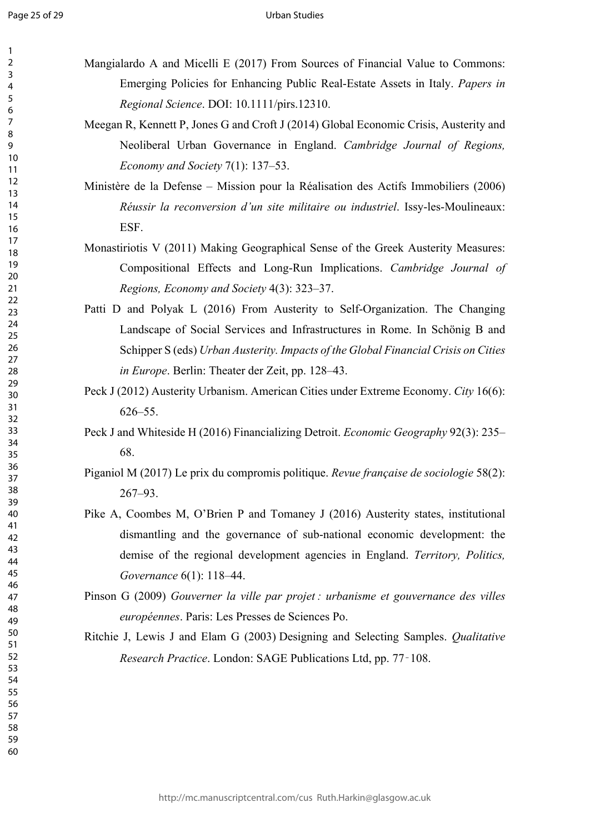#### Urban Studies

- Mangialardo A and Micelli E (2017) From Sources of Financial Value to Commons: Emerging Policies for Enhancing Public Real-Estate Assets in Italy. *Papers in Regional Science*. DOI: 10.1111/pirs.12310.
	- Meegan R, Kennett P, Jones G and Croft J (2014) Global Economic Crisis, Austerity and Neoliberal Urban Governance in England. *Cambridge Journal of Regions, Economy and Society* 7(1): 137–53.
	- Ministère de la Defense Mission pour la Réalisation des Actifs Immobiliers (2006) *Réussir la reconversion d'un site militaire ou industriel*. Issy-les-Moulineaux: ESF.
	- Monastiriotis V (2011) Making Geographical Sense of the Greek Austerity Measures: Compositional Effects and Long-Run Implications. *Cambridge Journal of Regions, Economy and Society* 4(3): 323–37.
	- Patti D and Polyak L (2016) From Austerity to Self-Organization. The Changing Landscape of Social Services and Infrastructures in Rome. In Schönig B and Schipper S (eds) *Urban Austerity. Impacts of the Global Financial Crisis on Cities in Europe*. Berlin: Theater der Zeit, pp. 128–43.
	- Peck J (2012) Austerity Urbanism. American Cities under Extreme Economy. *City* 16(6): 626–55.
	- Peck J and Whiteside H (2016) Financializing Detroit. *Economic Geography* 92(3): 235– 68.
	- Piganiol M (2017) Le prix du compromis politique. *Revue française de sociologie* 58(2): 267–93.
	- Pike A, Coombes M, O'Brien P and Tomaney J (2016) Austerity states, institutional dismantling and the governance of sub-national economic development: the demise of the regional development agencies in England. *Territory, Politics, Governance* 6(1): 118–44.
	- Pinson G (2009) *Gouverner la ville par projet : urbanisme et gouvernance des villes européennes*. Paris: Les Presses de Sciences Po.
	- Ritchie J, Lewis J and Elam G (2003) Designing and Selecting Samples. *Qualitative Research Practice*. London: SAGE Publications Ltd, pp. 77‑108.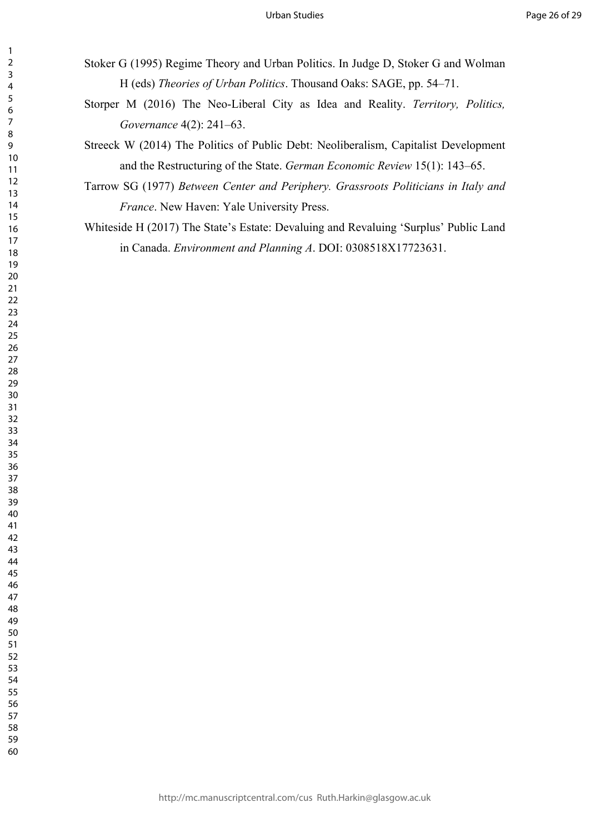- Stoker G (1995) Regime Theory and Urban Politics. In Judge D, Stoker G and Wolman H (eds) *Theories of Urban Politics*. Thousand Oaks: SAGE, pp. 54–71.
	- Storper M (2016) The Neo-Liberal City as Idea and Reality. *Territory, Politics, Governance* 4(2): 241–63.
	- Streeck W (2014) The Politics of Public Debt: Neoliberalism, Capitalist Development and the Restructuring of the State. *German Economic Review* 15(1): 143–65.
- Tarrow SG (1977) *Between Center and Periphery. Grassroots Politicians in Italy and France*. New Haven: Yale University Press.
- Whiteside H (2017) The State's Estate: Devaluing and Revaluing 'Surplus' Public Land in Canada. *Environment and Planning A*. DOI: 0308518X17723631.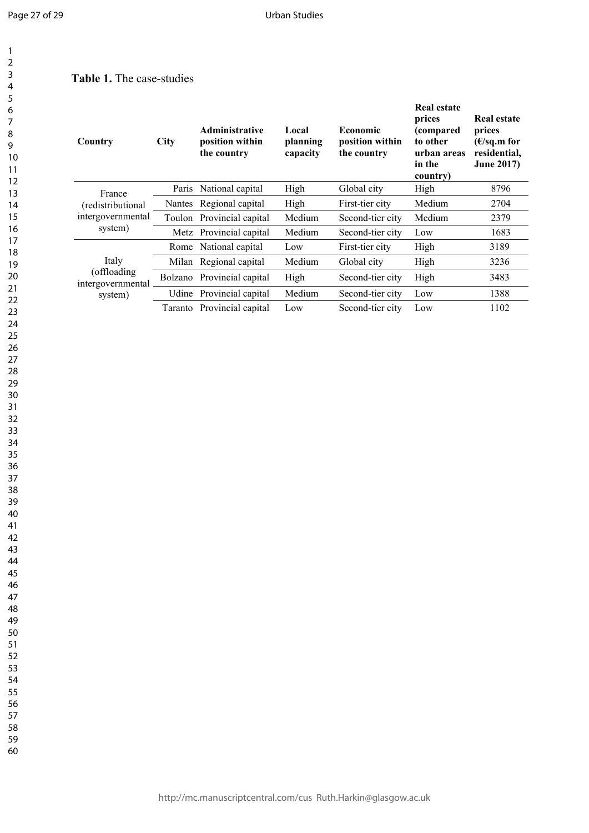## **Table 1.** The case-studies

| Country                                                     | <b>City</b> | <b>Administrative</b><br>position within<br>the country | Local<br>planning<br>capacity | <b>Economic</b><br>position within<br>the country | Real estate<br>prices<br>(compared<br>to other<br>urban areas<br>in the<br>country) | <b>Real estate</b><br>prices<br>$(E/\text{sq.m for})$<br>residential,<br><b>June 2017)</b> |
|-------------------------------------------------------------|-------------|---------------------------------------------------------|-------------------------------|---------------------------------------------------|-------------------------------------------------------------------------------------|--------------------------------------------------------------------------------------------|
| France<br>(redistributional<br>intergovernmental<br>system) | Paris       | National capital                                        | High                          | Global city                                       | High                                                                                | 8796                                                                                       |
|                                                             |             | Nantes Regional capital                                 | High                          | First-tier city                                   | Medium                                                                              | 2704                                                                                       |
|                                                             |             | Toulon Provincial capital                               | Medium                        | Second-tier city                                  | Medium                                                                              | 2379                                                                                       |
|                                                             |             | Metz Provincial capital                                 | Medium                        | Second-tier city                                  | Low                                                                                 | 1683                                                                                       |
| Italy<br>(offloading<br>intergovernmental<br>system)        | Rome        | National capital                                        | Low                           | First-tier city                                   | High                                                                                | 3189                                                                                       |
|                                                             |             | Milan Regional capital                                  | Medium                        | Global city                                       | High                                                                                | 3236                                                                                       |
|                                                             |             | Bolzano Provincial capital                              | High                          | Second-tier city                                  | High                                                                                | 3483                                                                                       |
|                                                             |             | Udine Provincial capital                                | Medium                        | Second-tier city                                  | Low                                                                                 | 1388                                                                                       |
|                                                             | Taranto     | Provincial capital                                      | Low                           | Second-tier city                                  | Low                                                                                 | 1102                                                                                       |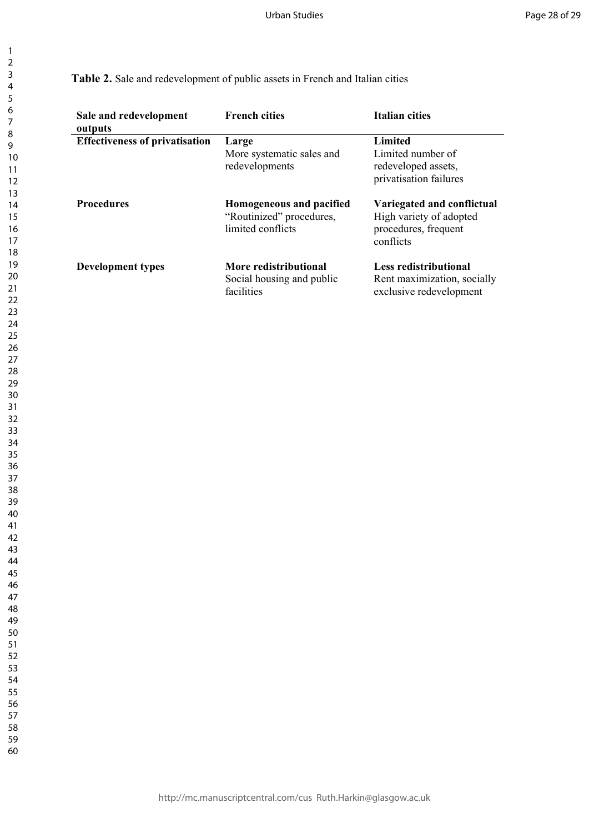### **Table 2.** Sale and redevelopment of public assets in French and Italian cities

| Sale and redevelopment<br>outputs     | <b>French cities</b>                                                      | <b>Italian cities</b>                                                                      |
|---------------------------------------|---------------------------------------------------------------------------|--------------------------------------------------------------------------------------------|
| <b>Effectiveness of privatisation</b> | Large<br>More systematic sales and<br>redevelopments                      | Limited<br>Limited number of<br>redeveloped assets,<br>privatisation failures              |
| <b>Procedures</b>                     | Homogeneous and pacified<br>"Routinized" procedures,<br>limited conflicts | Variegated and conflictual<br>High variety of adopted<br>procedures, frequent<br>conflicts |
| <b>Development types</b>              | More redistributional<br>Social housing and public<br>facilities          | <b>Less redistributional</b><br>Rent maximization, socially<br>exclusive redevelopment     |